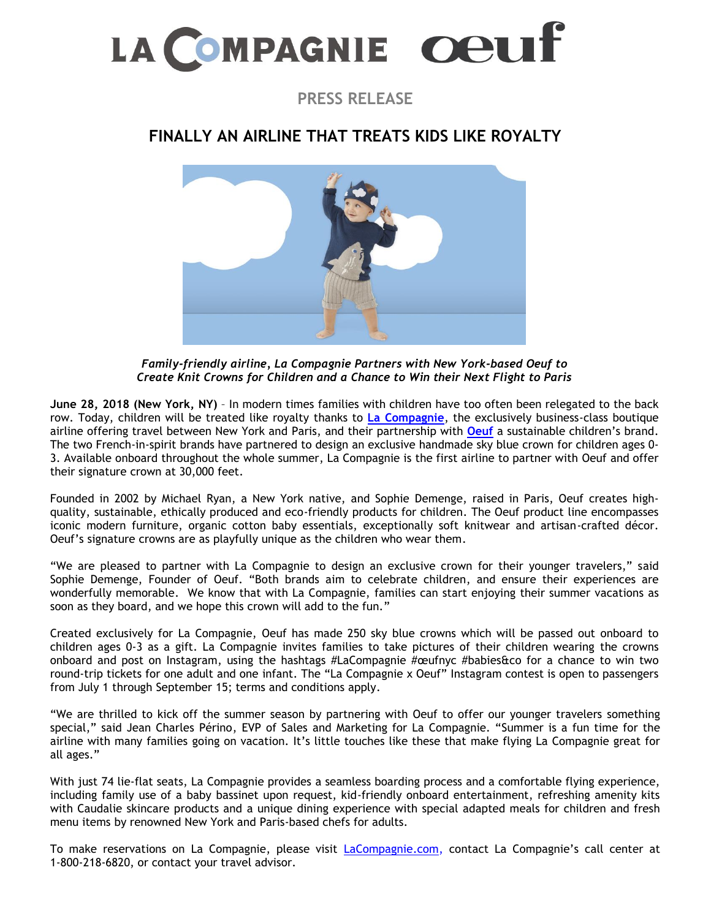

**PRESS RELEASE**

## **FINALLY AN AIRLINE THAT TREATS KIDS LIKE ROYALTY**



*Family-friendly airline, La Compagnie Partners with New York-based Oeuf to Create Knit Crowns for Children and a Chance to Win their Next Flight to Paris*

**June 28, 2018 (New York, NY)** – In modern times families with children have too often been relegated to the back row. Today, children will be treated like royalty thanks to **[La Compagnie](http://www.lacompangnie.com/)**, the exclusively business-class boutique airline offering travel between New York and Paris, and their partnership with **[Oeuf](https://oeufnyc.com/)** a sustainable children's brand. The two French-in-spirit brands have partnered to design an exclusive handmade sky blue crown for children ages 0- 3. Available onboard throughout the whole summer, La Compagnie is the first airline to partner with Oeuf and offer their signature crown at 30,000 feet.

Founded in 2002 by Michael Ryan, a New York native, and Sophie Demenge, raised in Paris, Oeuf creates highquality, sustainable, ethically produced and eco-friendly products for children. The Oeuf product line encompasses iconic modern furniture, organic cotton baby essentials, exceptionally soft knitwear and artisan-crafted décor. Oeuf's signature crowns are as playfully unique as the children who wear them.

"We are pleased to partner with La Compagnie to design an exclusive crown for their younger travelers," said Sophie Demenge, Founder of Oeuf. "Both brands aim to celebrate children, and ensure their experiences are wonderfully memorable. We know that with La Compagnie, families can start enjoying their summer vacations as soon as they board, and we hope this crown will add to the fun."

Created exclusively for La Compagnie, Oeuf has made 250 sky blue crowns which will be passed out onboard to children ages 0-3 as a gift. La Compagnie invites families to take pictures of their children wearing the crowns onboard and post on Instagram, using the hashtags #LaCompagnie #œufnyc #babies&co for a chance to win two round-trip tickets for one adult and one infant. The "La Compagnie x Oeuf" Instagram contest is open to passengers from July 1 through September 15; terms and conditions apply.

"We are thrilled to kick off the summer season by partnering with Oeuf to offer our younger travelers something special," said Jean Charles Périno, EVP of Sales and Marketing for La Compagnie. "Summer is a fun time for the airline with many families going on vacation. It's little touches like these that make flying La Compagnie great for all ages."

With just 74 lie-flat seats, La Compagnie provides a seamless boarding process and a comfortable flying experience, including family use of a baby bassinet upon request, kid-friendly onboard entertainment, refreshing amenity kits with Caudalie skincare products and a unique dining experience with special adapted meals for children and fresh menu items by renowned New York and Paris-based chefs for adults.

To make reservations on La Compagnie, please visit [LaCompagnie.com,](https://www.lacompagnie.com/en) contact La Compagnie's call center at 1-800-218-6820, or contact your travel advisor.